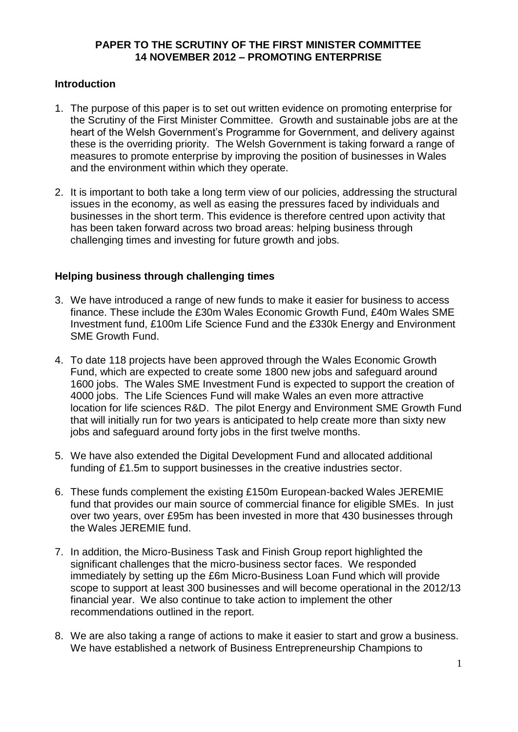## **PAPER TO THE SCRUTINY OF THE FIRST MINISTER COMMITTEE 14 NOVEMBER 2012 – PROMOTING ENTERPRISE**

## **Introduction**

- 1. The purpose of this paper is to set out written evidence on promoting enterprise for the Scrutiny of the First Minister Committee. Growth and sustainable jobs are at the heart of the Welsh Government's Programme for Government, and delivery against these is the overriding priority. The Welsh Government is taking forward a range of measures to promote enterprise by improving the position of businesses in Wales and the environment within which they operate.
- 2. It is important to both take a long term view of our policies, addressing the structural issues in the economy, as well as easing the pressures faced by individuals and businesses in the short term. This evidence is therefore centred upon activity that has been taken forward across two broad areas: helping business through challenging times and investing for future growth and jobs.

# **Helping business through challenging times**

- 3. We have introduced a range of new funds to make it easier for business to access finance. These include the £30m Wales Economic Growth Fund, £40m Wales SME Investment fund, £100m Life Science Fund and the £330k Energy and Environment SME Growth Fund.
- 4. To date 118 projects have been approved through the Wales Economic Growth Fund, which are expected to create some 1800 new jobs and safeguard around 1600 jobs. The Wales SME Investment Fund is expected to support the creation of 4000 jobs. The Life Sciences Fund will make Wales an even more attractive location for life sciences R&D. The pilot Energy and Environment SME Growth Fund that will initially run for two years is anticipated to help create more than sixty new jobs and safeguard around forty jobs in the first twelve months.
- 5. We have also extended the Digital Development Fund and allocated additional funding of £1.5m to support businesses in the creative industries sector.
- 6. These funds complement the existing £150m European-backed Wales JEREMIE fund that provides our main source of commercial finance for eligible SMEs. In just over two years, over £95m has been invested in more that 430 businesses through the Wales JEREMIE fund.
- 7. In addition, the Micro-Business Task and Finish Group report highlighted the significant challenges that the micro-business sector faces. We responded immediately by setting up the £6m Micro-Business Loan Fund which will provide scope to support at least 300 businesses and will become operational in the 2012/13 financial year. We also continue to take action to implement the other recommendations outlined in the report.
- 8. We are also taking a range of actions to make it easier to start and grow a business. We have established a network of Business Entrepreneurship Champions to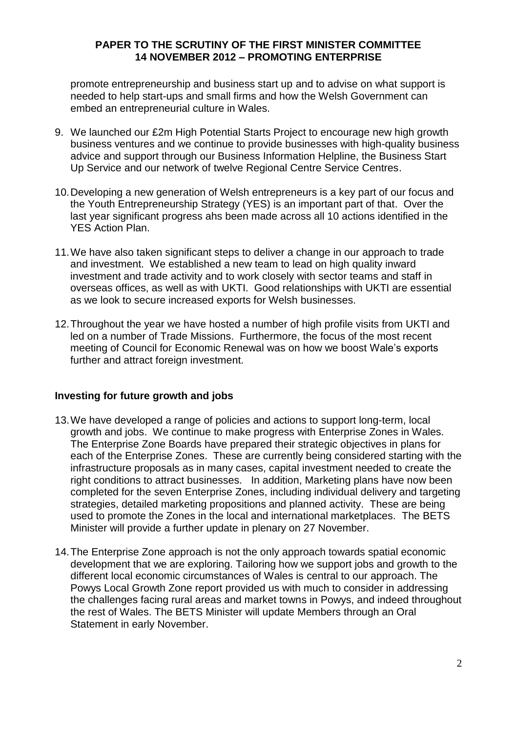#### **PAPER TO THE SCRUTINY OF THE FIRST MINISTER COMMITTEE 14 NOVEMBER 2012 – PROMOTING ENTERPRISE**

promote entrepreneurship and business start up and to advise on what support is needed to help start-ups and small firms and how the Welsh Government can embed an entrepreneurial culture in Wales.

- 9. We launched our £2m High Potential Starts Project to encourage new high growth business ventures and we continue to provide businesses with high-quality business advice and support through our Business Information Helpline, the Business Start Up Service and our network of twelve Regional Centre Service Centres.
- 10.Developing a new generation of Welsh entrepreneurs is a key part of our focus and the Youth Entrepreneurship Strategy (YES) is an important part of that. Over the last year significant progress ahs been made across all 10 actions identified in the YES Action Plan.
- 11.We have also taken significant steps to deliver a change in our approach to trade and investment. We established a new team to lead on high quality inward investment and trade activity and to work closely with sector teams and staff in overseas offices, as well as with UKTI. Good relationships with UKTI are essential as we look to secure increased exports for Welsh businesses.
- 12.Throughout the year we have hosted a number of high profile visits from UKTI and led on a number of Trade Missions. Furthermore, the focus of the most recent meeting of Council for Economic Renewal was on how we boost Wale's exports further and attract foreign investment.

## **Investing for future growth and jobs**

- 13.We have developed a range of policies and actions to support long-term, local growth and jobs. We continue to make progress with Enterprise Zones in Wales. The Enterprise Zone Boards have prepared their strategic objectives in plans for each of the Enterprise Zones. These are currently being considered starting with the infrastructure proposals as in many cases, capital investment needed to create the right conditions to attract businesses. In addition, Marketing plans have now been completed for the seven Enterprise Zones, including individual delivery and targeting strategies, detailed marketing propositions and planned activity. These are being used to promote the Zones in the local and international marketplaces. The BETS Minister will provide a further update in plenary on 27 November.
- 14.The Enterprise Zone approach is not the only approach towards spatial economic development that we are exploring. Tailoring how we support jobs and growth to the different local economic circumstances of Wales is central to our approach. The Powys Local Growth Zone report provided us with much to consider in addressing the challenges facing rural areas and market towns in Powys, and indeed throughout the rest of Wales. The BETS Minister will update Members through an Oral Statement in early November.